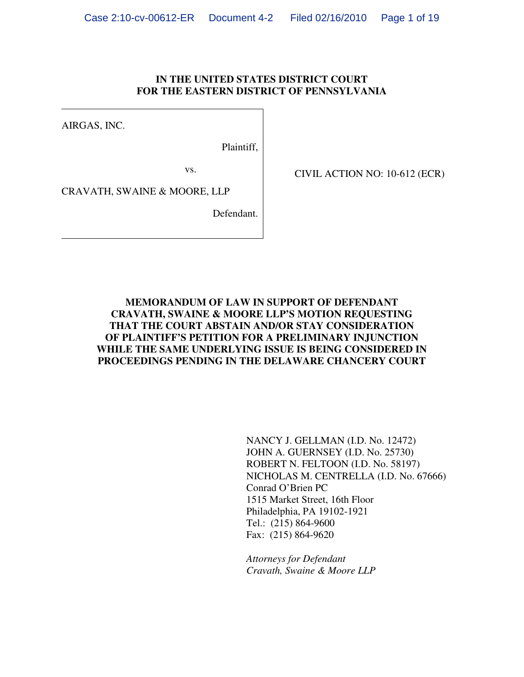## **IN THE UNITED STATES DISTRICT COURT FOR THE EASTERN DISTRICT OF PENNSYLVANIA**

AIRGAS, INC.

Plaintiff,

vs.

CIVIL ACTION NO: 10-612 (ECR)

CRAVATH, SWAINE & MOORE, LLP

Defendant.

## **MEMORANDUM OF LAW IN SUPPORT OF DEFENDANT CRAVATH, SWAINE & MOORE LLP'S MOTION REQUESTING THAT THE COURT ABSTAIN AND/OR STAY CONSIDERATION OF PLAINTIFF'S PETITION FOR A PRELIMINARY INJUNCTION WHILE THE SAME UNDERLYING ISSUE IS BEING CONSIDERED IN PROCEEDINGS PENDING IN THE DELAWARE CHANCERY COURT**

NANCY J. GELLMAN (I.D. No. 12472) JOHN A. GUERNSEY (I.D. No. 25730) ROBERT N. FELTOON (I.D. No. 58197) NICHOLAS M. CENTRELLA (I.D. No. 67666) Conrad O'Brien PC 1515 Market Street, 16th Floor Philadelphia, PA 19102-1921 Tel.: (215) 864-9600 Fax: (215) 864-9620

*Attorneys for Defendant Cravath, Swaine & Moore LLP*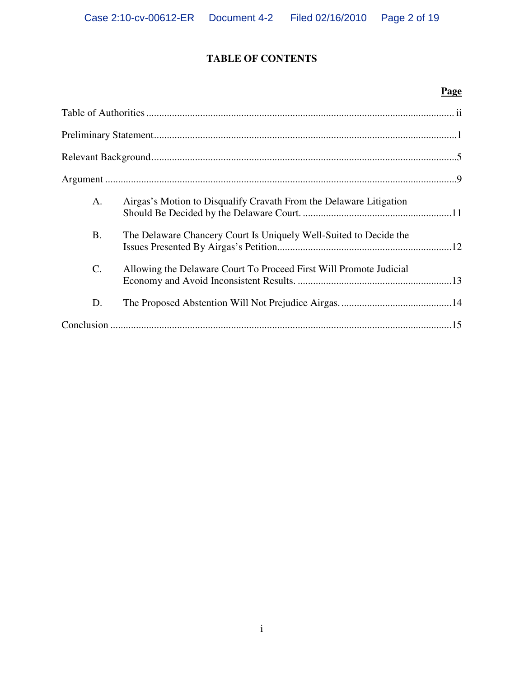# **TABLE OF CONTENTS**

## **Page**

| A.              | Airgas's Motion to Disqualify Cravath From the Delaware Litigation |  |
|-----------------|--------------------------------------------------------------------|--|
| <b>B.</b>       | The Delaware Chancery Court Is Uniquely Well-Suited to Decide the  |  |
| $\mathcal{C}$ . | Allowing the Delaware Court To Proceed First Will Promote Judicial |  |
| D.              |                                                                    |  |
|                 |                                                                    |  |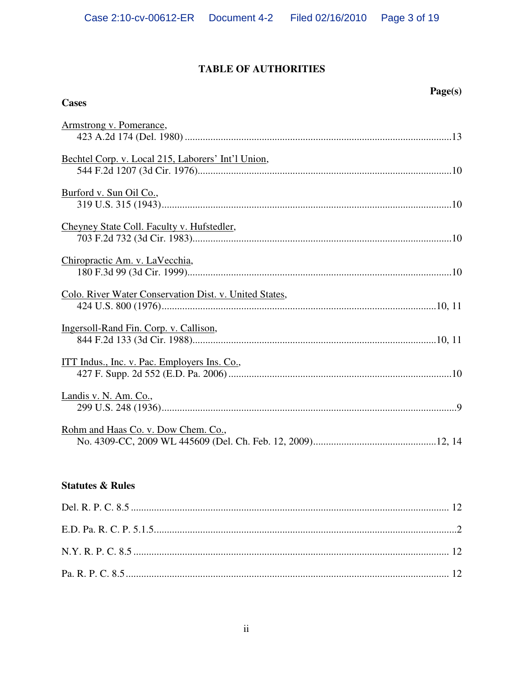## **TABLE OF AUTHORITIES**

| Armstrong v. Pomerance,                                |
|--------------------------------------------------------|
| Bechtel Corp. v. Local 215, Laborers' Int'l Union,     |
| Burford v. Sun Oil Co.,                                |
| Cheyney State Coll. Faculty v. Hufstedler,             |
| Chiropractic Am. v. LaVecchia,                         |
| Colo. River Water Conservation Dist. v. United States, |
| Ingersoll-Rand Fin. Corp. v. Callison,                 |
| ITT Indus., Inc. v. Pac. Employers Ins. Co.,           |
| Landis v. N. Am. Co.,                                  |
| Rohm and Haas Co. v. Dow Chem. Co.,                    |

# **Statutes & Rules**

**Cases**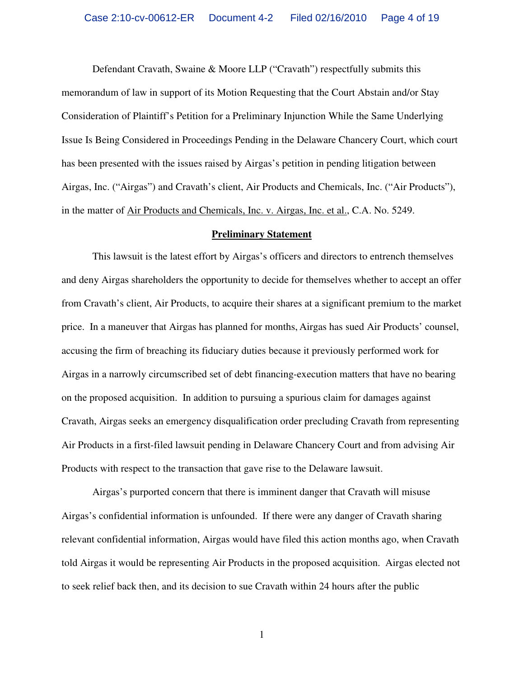Defendant Cravath, Swaine & Moore LLP ("Cravath") respectfully submits this memorandum of law in support of its Motion Requesting that the Court Abstain and/or Stay Consideration of Plaintiff's Petition for a Preliminary Injunction While the Same Underlying Issue Is Being Considered in Proceedings Pending in the Delaware Chancery Court, which court has been presented with the issues raised by Airgas's petition in pending litigation between Airgas, Inc. ("Airgas") and Cravath's client, Air Products and Chemicals, Inc. ("Air Products"), in the matter of Air Products and Chemicals, Inc. v. Airgas, Inc. et al., C.A. No. 5249.

#### **Preliminary Statement**

This lawsuit is the latest effort by Airgas's officers and directors to entrench themselves and deny Airgas shareholders the opportunity to decide for themselves whether to accept an offer from Cravath's client, Air Products, to acquire their shares at a significant premium to the market price. In a maneuver that Airgas has planned for months, Airgas has sued Air Products' counsel, accusing the firm of breaching its fiduciary duties because it previously performed work for Airgas in a narrowly circumscribed set of debt financing-execution matters that have no bearing on the proposed acquisition. In addition to pursuing a spurious claim for damages against Cravath, Airgas seeks an emergency disqualification order precluding Cravath from representing Air Products in a first-filed lawsuit pending in Delaware Chancery Court and from advising Air Products with respect to the transaction that gave rise to the Delaware lawsuit.

Airgas's purported concern that there is imminent danger that Cravath will misuse Airgas's confidential information is unfounded. If there were any danger of Cravath sharing relevant confidential information, Airgas would have filed this action months ago, when Cravath told Airgas it would be representing Air Products in the proposed acquisition. Airgas elected not to seek relief back then, and its decision to sue Cravath within 24 hours after the public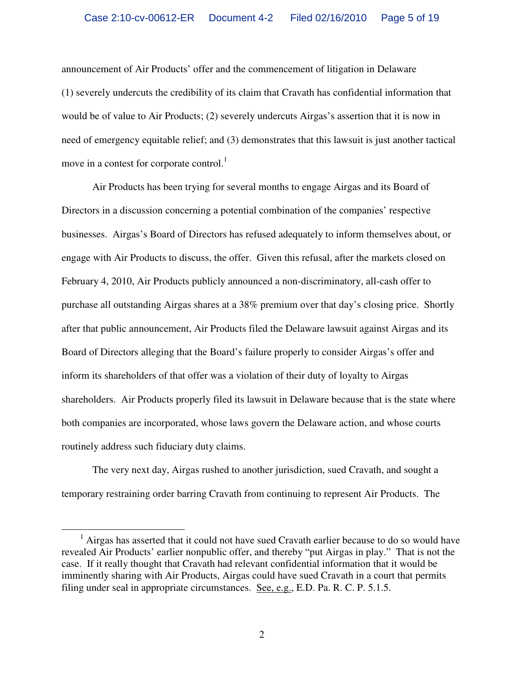announcement of Air Products' offer and the commencement of litigation in Delaware (1) severely undercuts the credibility of its claim that Cravath has confidential information that would be of value to Air Products; (2) severely undercuts Airgas's assertion that it is now in need of emergency equitable relief; and (3) demonstrates that this lawsuit is just another tactical move in a contest for corporate control.<sup>1</sup>

Air Products has been trying for several months to engage Airgas and its Board of Directors in a discussion concerning a potential combination of the companies' respective businesses. Airgas's Board of Directors has refused adequately to inform themselves about, or engage with Air Products to discuss, the offer. Given this refusal, after the markets closed on February 4, 2010, Air Products publicly announced a non-discriminatory, all-cash offer to purchase all outstanding Airgas shares at a 38% premium over that day's closing price. Shortly after that public announcement, Air Products filed the Delaware lawsuit against Airgas and its Board of Directors alleging that the Board's failure properly to consider Airgas's offer and inform its shareholders of that offer was a violation of their duty of loyalty to Airgas shareholders. Air Products properly filed its lawsuit in Delaware because that is the state where both companies are incorporated, whose laws govern the Delaware action, and whose courts routinely address such fiduciary duty claims.

The very next day, Airgas rushed to another jurisdiction, sued Cravath, and sought a temporary restraining order barring Cravath from continuing to represent Air Products. The

<u>.</u>

 $<sup>1</sup>$  Airgas has asserted that it could not have sued Cravath earlier because to do so would have</sup> revealed Air Products' earlier nonpublic offer, and thereby "put Airgas in play." That is not the case. If it really thought that Cravath had relevant confidential information that it would be imminently sharing with Air Products, Airgas could have sued Cravath in a court that permits filing under seal in appropriate circumstances. See, e.g., E.D. Pa. R. C. P. 5.1.5.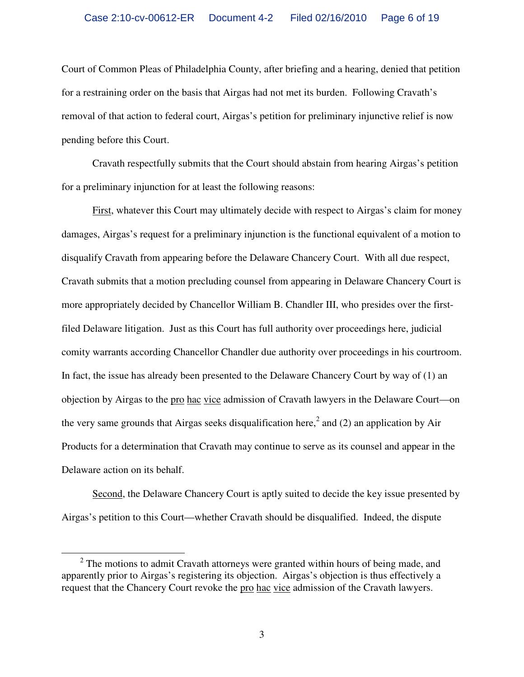Court of Common Pleas of Philadelphia County, after briefing and a hearing, denied that petition for a restraining order on the basis that Airgas had not met its burden. Following Cravath's removal of that action to federal court, Airgas's petition for preliminary injunctive relief is now pending before this Court.

Cravath respectfully submits that the Court should abstain from hearing Airgas's petition for a preliminary injunction for at least the following reasons:

First, whatever this Court may ultimately decide with respect to Airgas's claim for money damages, Airgas's request for a preliminary injunction is the functional equivalent of a motion to disqualify Cravath from appearing before the Delaware Chancery Court. With all due respect, Cravath submits that a motion precluding counsel from appearing in Delaware Chancery Court is more appropriately decided by Chancellor William B. Chandler III, who presides over the firstfiled Delaware litigation. Just as this Court has full authority over proceedings here, judicial comity warrants according Chancellor Chandler due authority over proceedings in his courtroom. In fact, the issue has already been presented to the Delaware Chancery Court by way of (1) an objection by Airgas to the pro hac vice admission of Cravath lawyers in the Delaware Court—on the very same grounds that Airgas seeks disqualification here,<sup>2</sup> and (2) an application by Air Products for a determination that Cravath may continue to serve as its counsel and appear in the Delaware action on its behalf.

Second, the Delaware Chancery Court is aptly suited to decide the key issue presented by Airgas's petition to this Court—whether Cravath should be disqualified. Indeed, the dispute

 $2^2$  The motions to admit Cravath attorneys were granted within hours of being made, and apparently prior to Airgas's registering its objection. Airgas's objection is thus effectively a request that the Chancery Court revoke the pro hac vice admission of the Cravath lawyers.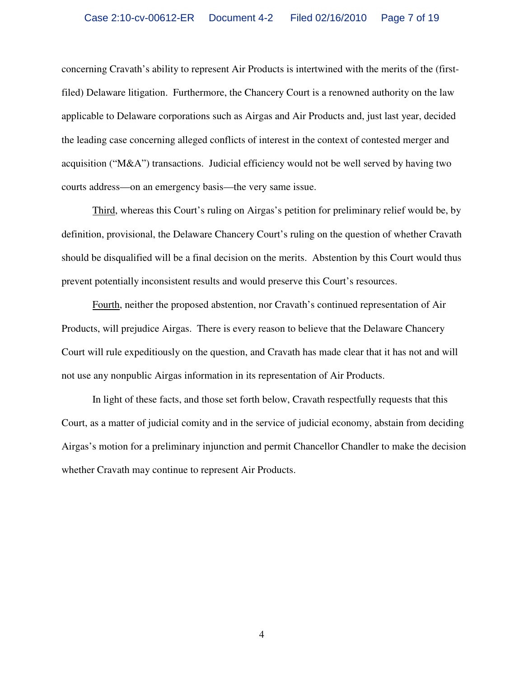concerning Cravath's ability to represent Air Products is intertwined with the merits of the (firstfiled) Delaware litigation. Furthermore, the Chancery Court is a renowned authority on the law applicable to Delaware corporations such as Airgas and Air Products and, just last year, decided the leading case concerning alleged conflicts of interest in the context of contested merger and acquisition ("M&A") transactions. Judicial efficiency would not be well served by having two courts address—on an emergency basis—the very same issue.

Third, whereas this Court's ruling on Airgas's petition for preliminary relief would be, by definition, provisional, the Delaware Chancery Court's ruling on the question of whether Cravath should be disqualified will be a final decision on the merits. Abstention by this Court would thus prevent potentially inconsistent results and would preserve this Court's resources.

Fourth, neither the proposed abstention, nor Cravath's continued representation of Air Products, will prejudice Airgas. There is every reason to believe that the Delaware Chancery Court will rule expeditiously on the question, and Cravath has made clear that it has not and will not use any nonpublic Airgas information in its representation of Air Products.

In light of these facts, and those set forth below, Cravath respectfully requests that this Court, as a matter of judicial comity and in the service of judicial economy, abstain from deciding Airgas's motion for a preliminary injunction and permit Chancellor Chandler to make the decision whether Cravath may continue to represent Air Products.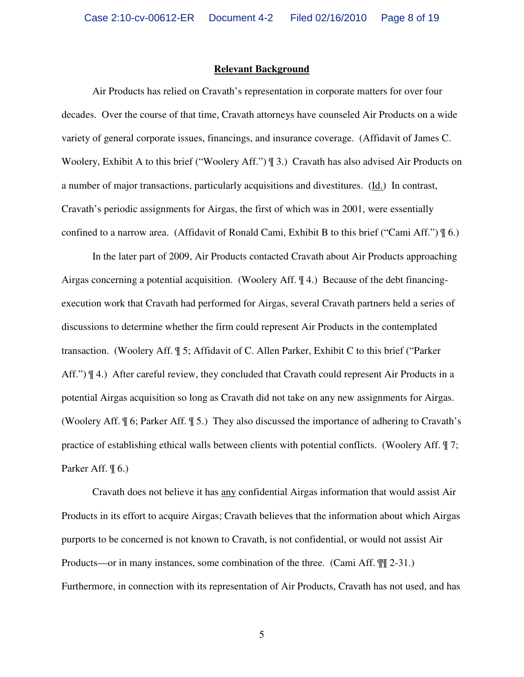#### **Relevant Background**

Air Products has relied on Cravath's representation in corporate matters for over four decades. Over the course of that time, Cravath attorneys have counseled Air Products on a wide variety of general corporate issues, financings, and insurance coverage. (Affidavit of James C. Woolery, Exhibit A to this brief ("Woolery Aff.") ¶ 3.) Cravath has also advised Air Products on a number of major transactions, particularly acquisitions and divestitures. (Id.) In contrast, Cravath's periodic assignments for Airgas, the first of which was in 2001, were essentially confined to a narrow area. (Affidavit of Ronald Cami, Exhibit B to this brief ("Cami Aff.") ¶ 6.)

In the later part of 2009, Air Products contacted Cravath about Air Products approaching Airgas concerning a potential acquisition. (Woolery Aff. ¶ 4.) Because of the debt financingexecution work that Cravath had performed for Airgas, several Cravath partners held a series of discussions to determine whether the firm could represent Air Products in the contemplated transaction. (Woolery Aff. ¶ 5; Affidavit of C. Allen Parker, Exhibit C to this brief ("Parker Aff.")  $\P$  4.) After careful review, they concluded that Cravath could represent Air Products in a potential Airgas acquisition so long as Cravath did not take on any new assignments for Airgas. (Woolery Aff. ¶ 6; Parker Aff. ¶ 5.) They also discussed the importance of adhering to Cravath's practice of establishing ethical walls between clients with potential conflicts. (Woolery Aff. ¶ 7; Parker Aff.  $\P$  6.)

Cravath does not believe it has any confidential Airgas information that would assist Air Products in its effort to acquire Airgas; Cravath believes that the information about which Airgas purports to be concerned is not known to Cravath, is not confidential, or would not assist Air Products—or in many instances, some combination of the three. (Cami Aff. ¶¶ 2-31.) Furthermore, in connection with its representation of Air Products, Cravath has not used, and has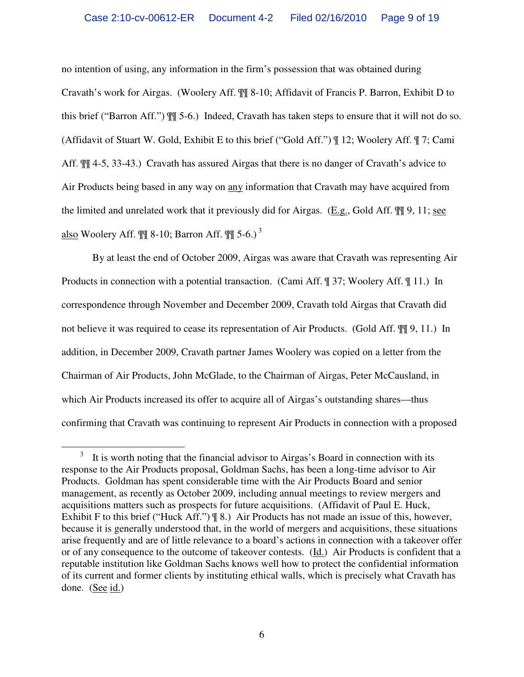no intention of using, any information in the firm's possession that was obtained during Cravath's work for Airgas. (Woolery Aff. ¶¶ 8-10; Affidavit of Francis P. Barron, Exhibit D to this brief ("Barron Aff.") ¶¶ 5-6.) Indeed, Cravath has taken steps to ensure that it will not do so. (Affidavit of Stuart W. Gold, Exhibit E to this brief ("Gold Aff.") ¶ 12; Woolery Aff. ¶ 7; Cami Aff. ¶¶ 4-5, 33-43.) Cravath has assured Airgas that there is no danger of Cravath's advice to Air Products being based in any way on any information that Cravath may have acquired from the limited and unrelated work that it previously did for Airgas. (E.g., Gold Aff. ¶¶ 9, 11; see also Woolery Aff.  $\P\P$  8-10; Barron Aff.  $\P$  $\P$  5-6.)<sup>3</sup>

By at least the end of October 2009, Airgas was aware that Cravath was representing Air Products in connection with a potential transaction. (Cami Aff. ¶ 37; Woolery Aff. ¶ 11.) In correspondence through November and December 2009, Cravath told Airgas that Cravath did not believe it was required to cease its representation of Air Products. (Gold Aff.  $\P$  $\P$  $9, 11$ .) In addition, in December 2009, Cravath partner James Woolery was copied on a letter from the Chairman of Air Products, John McGlade, to the Chairman of Airgas, Peter McCausland, in which Air Products increased its offer to acquire all of Airgas's outstanding shares—thus confirming that Cravath was continuing to represent Air Products in connection with a proposed

<sup>3</sup> It is worth noting that the financial advisor to Airgas's Board in connection with its response to the Air Products proposal, Goldman Sachs, has been a long-time advisor to Air Products. Goldman has spent considerable time with the Air Products Board and senior management, as recently as October 2009, including annual meetings to review mergers and acquisitions matters such as prospects for future acquisitions. (Affidavit of Paul E. Huck, Exhibit F to this brief ("Huck Aff.")  $\parallel$  8.) Air Products has not made an issue of this, however, because it is generally understood that, in the world of mergers and acquisitions, these situations arise frequently and are of little relevance to a board's actions in connection with a takeover offer or of any consequence to the outcome of takeover contests. (Id.) Air Products is confident that a reputable institution like Goldman Sachs knows well how to protect the confidential information of its current and former clients by instituting ethical walls, which is precisely what Cravath has done. (See id.)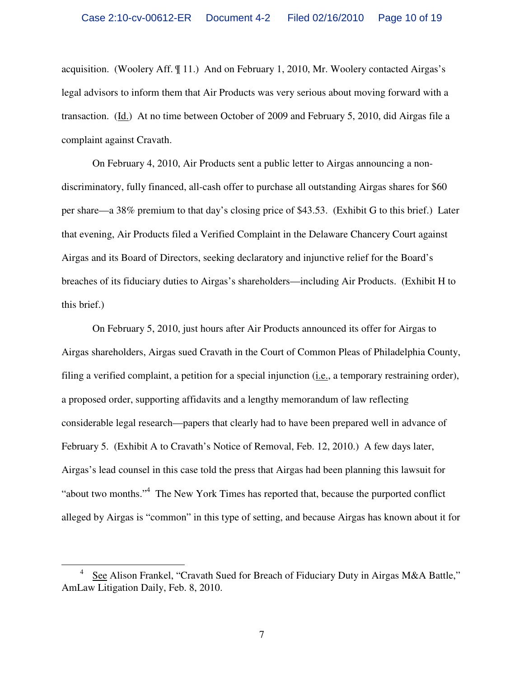acquisition. (Woolery Aff. ¶ 11.) And on February 1, 2010, Mr. Woolery contacted Airgas's legal advisors to inform them that Air Products was very serious about moving forward with a transaction. (Id.) At no time between October of 2009 and February 5, 2010, did Airgas file a complaint against Cravath.

On February 4, 2010, Air Products sent a public letter to Airgas announcing a nondiscriminatory, fully financed, all-cash offer to purchase all outstanding Airgas shares for \$60 per share—a 38% premium to that day's closing price of \$43.53. (Exhibit G to this brief.) Later that evening, Air Products filed a Verified Complaint in the Delaware Chancery Court against Airgas and its Board of Directors, seeking declaratory and injunctive relief for the Board's breaches of its fiduciary duties to Airgas's shareholders—including Air Products. (Exhibit H to this brief.)

On February 5, 2010, just hours after Air Products announced its offer for Airgas to Airgas shareholders, Airgas sued Cravath in the Court of Common Pleas of Philadelphia County, filing a verified complaint, a petition for a special injunction (*i.e.*, a temporary restraining order), a proposed order, supporting affidavits and a lengthy memorandum of law reflecting considerable legal research—papers that clearly had to have been prepared well in advance of February 5. (Exhibit A to Cravath's Notice of Removal, Feb. 12, 2010.) A few days later, Airgas's lead counsel in this case told the press that Airgas had been planning this lawsuit for "about two months."<sup>4</sup> The New York Times has reported that, because the purported conflict alleged by Airgas is "common" in this type of setting, and because Airgas has known about it for

<sup>4</sup> See Alison Frankel, "Cravath Sued for Breach of Fiduciary Duty in Airgas M&A Battle," AmLaw Litigation Daily, Feb. 8, 2010.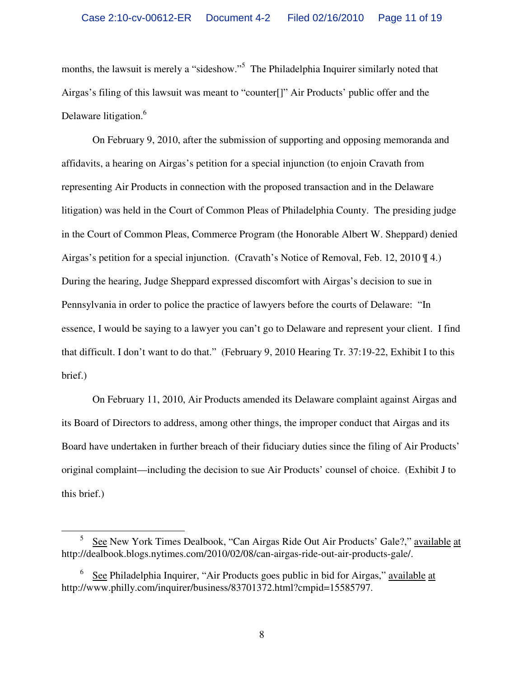months, the lawsuit is merely a "sideshow."<sup>5</sup> The Philadelphia Inquirer similarly noted that Airgas's filing of this lawsuit was meant to "counter[]" Air Products' public offer and the Delaware litigation.<sup>6</sup>

On February 9, 2010, after the submission of supporting and opposing memoranda and affidavits, a hearing on Airgas's petition for a special injunction (to enjoin Cravath from representing Air Products in connection with the proposed transaction and in the Delaware litigation) was held in the Court of Common Pleas of Philadelphia County. The presiding judge in the Court of Common Pleas, Commerce Program (the Honorable Albert W. Sheppard) denied Airgas's petition for a special injunction. (Cravath's Notice of Removal, Feb. 12, 2010 ¶ 4.) During the hearing, Judge Sheppard expressed discomfort with Airgas's decision to sue in Pennsylvania in order to police the practice of lawyers before the courts of Delaware: "In essence, I would be saying to a lawyer you can't go to Delaware and represent your client. I find that difficult. I don't want to do that." (February 9, 2010 Hearing Tr. 37:19-22, Exhibit I to this brief.)

On February 11, 2010, Air Products amended its Delaware complaint against Airgas and its Board of Directors to address, among other things, the improper conduct that Airgas and its Board have undertaken in further breach of their fiduciary duties since the filing of Air Products' original complaint—including the decision to sue Air Products' counsel of choice. (Exhibit J to this brief.)

<sup>5</sup> See New York Times Dealbook, "Can Airgas Ride Out Air Products' Gale?," available at http://dealbook.blogs.nytimes.com/2010/02/08/can-airgas-ride-out-air-products-gale/.

<sup>6</sup> See Philadelphia Inquirer, "Air Products goes public in bid for Airgas," available at http://www.philly.com/inquirer/business/83701372.html?cmpid=15585797.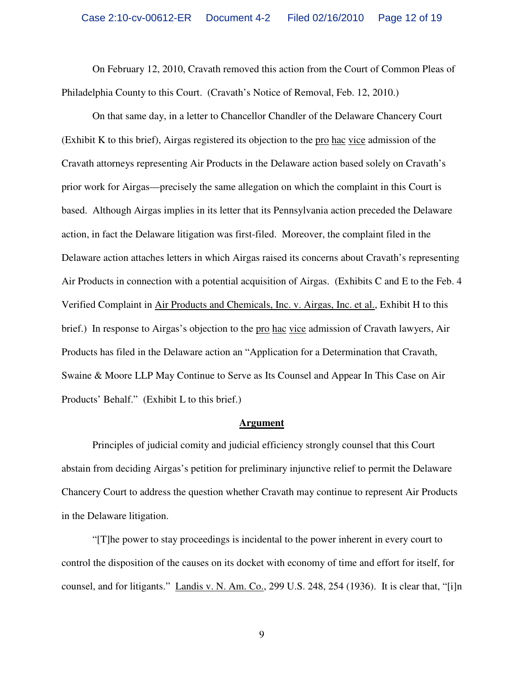On February 12, 2010, Cravath removed this action from the Court of Common Pleas of Philadelphia County to this Court. (Cravath's Notice of Removal, Feb. 12, 2010.)

On that same day, in a letter to Chancellor Chandler of the Delaware Chancery Court (Exhibit K to this brief), Airgas registered its objection to the pro hac vice admission of the Cravath attorneys representing Air Products in the Delaware action based solely on Cravath's prior work for Airgas—precisely the same allegation on which the complaint in this Court is based. Although Airgas implies in its letter that its Pennsylvania action preceded the Delaware action, in fact the Delaware litigation was first-filed. Moreover, the complaint filed in the Delaware action attaches letters in which Airgas raised its concerns about Cravath's representing Air Products in connection with a potential acquisition of Airgas. (Exhibits C and E to the Feb. 4 Verified Complaint in Air Products and Chemicals, Inc. v. Airgas, Inc. et al., Exhibit H to this brief.) In response to Airgas's objection to the pro hac vice admission of Cravath lawyers, Air Products has filed in the Delaware action an "Application for a Determination that Cravath, Swaine & Moore LLP May Continue to Serve as Its Counsel and Appear In This Case on Air Products' Behalf." (Exhibit L to this brief.)

#### **Argument**

Principles of judicial comity and judicial efficiency strongly counsel that this Court abstain from deciding Airgas's petition for preliminary injunctive relief to permit the Delaware Chancery Court to address the question whether Cravath may continue to represent Air Products in the Delaware litigation.

"[T]he power to stay proceedings is incidental to the power inherent in every court to control the disposition of the causes on its docket with economy of time and effort for itself, for counsel, and for litigants." Landis v. N. Am. Co., 299 U.S. 248, 254 (1936). It is clear that, "[i]n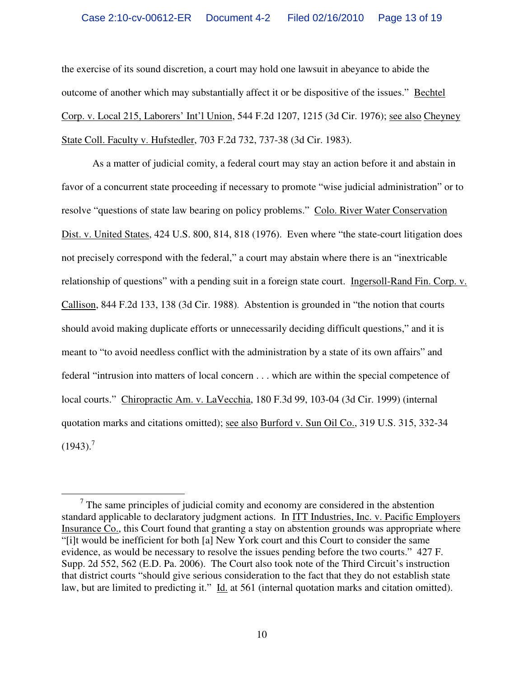the exercise of its sound discretion, a court may hold one lawsuit in abeyance to abide the outcome of another which may substantially affect it or be dispositive of the issues." Bechtel Corp. v. Local 215, Laborers' Int'l Union, 544 F.2d 1207, 1215 (3d Cir. 1976); see also Cheyney State Coll. Faculty v. Hufstedler, 703 F.2d 732, 737-38 (3d Cir. 1983).

As a matter of judicial comity, a federal court may stay an action before it and abstain in favor of a concurrent state proceeding if necessary to promote "wise judicial administration" or to resolve "questions of state law bearing on policy problems." Colo. River Water Conservation Dist. v. United States, 424 U.S. 800, 814, 818 (1976). Even where "the state-court litigation does not precisely correspond with the federal," a court may abstain where there is an "inextricable relationship of questions" with a pending suit in a foreign state court. Ingersoll-Rand Fin. Corp. v. Callison, 844 F.2d 133, 138 (3d Cir. 1988). Abstention is grounded in "the notion that courts should avoid making duplicate efforts or unnecessarily deciding difficult questions," and it is meant to "to avoid needless conflict with the administration by a state of its own affairs" and federal "intrusion into matters of local concern . . . which are within the special competence of local courts." Chiropractic Am. v. LaVecchia, 180 F.3d 99, 103-04 (3d Cir. 1999) (internal quotation marks and citations omitted); <u>see also Burford v. Sun Oil Co.</u>, 319 U.S. 315, 332-34  $(1943).<sup>7</sup>$ 

 $<sup>7</sup>$  The same principles of judicial comity and economy are considered in the abstention</sup> standard applicable to declaratory judgment actions. In ITT Industries, Inc. v. Pacific Employers Insurance Co., this Court found that granting a stay on abstention grounds was appropriate where "[i]t would be inefficient for both [a] New York court and this Court to consider the same evidence, as would be necessary to resolve the issues pending before the two courts." 427 F. Supp. 2d 552, 562 (E.D. Pa. 2006). The Court also took note of the Third Circuit's instruction that district courts "should give serious consideration to the fact that they do not establish state law, but are limited to predicting it." Id. at 561 (internal quotation marks and citation omitted).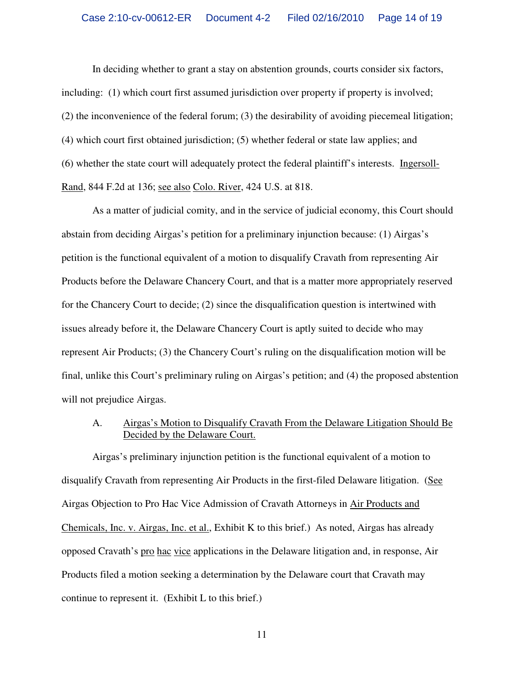In deciding whether to grant a stay on abstention grounds, courts consider six factors, including: (1) which court first assumed jurisdiction over property if property is involved; (2) the inconvenience of the federal forum; (3) the desirability of avoiding piecemeal litigation; (4) which court first obtained jurisdiction; (5) whether federal or state law applies; and (6) whether the state court will adequately protect the federal plaintiff's interests. Ingersoll-Rand, 844 F.2d at 136; see also Colo. River, 424 U.S. at 818.

As a matter of judicial comity, and in the service of judicial economy, this Court should abstain from deciding Airgas's petition for a preliminary injunction because: (1) Airgas's petition is the functional equivalent of a motion to disqualify Cravath from representing Air Products before the Delaware Chancery Court, and that is a matter more appropriately reserved for the Chancery Court to decide; (2) since the disqualification question is intertwined with issues already before it, the Delaware Chancery Court is aptly suited to decide who may represent Air Products; (3) the Chancery Court's ruling on the disqualification motion will be final, unlike this Court's preliminary ruling on Airgas's petition; and (4) the proposed abstention will not prejudice Airgas.

## A. Airgas's Motion to Disqualify Cravath From the Delaware Litigation Should Be Decided by the Delaware Court.

Airgas's preliminary injunction petition is the functional equivalent of a motion to disqualify Cravath from representing Air Products in the first-filed Delaware litigation. (See Airgas Objection to Pro Hac Vice Admission of Cravath Attorneys in Air Products and Chemicals, Inc. v. Airgas, Inc. et al., Exhibit K to this brief.) As noted, Airgas has already opposed Cravath's pro hac vice applications in the Delaware litigation and, in response, Air Products filed a motion seeking a determination by the Delaware court that Cravath may continue to represent it. (Exhibit L to this brief.)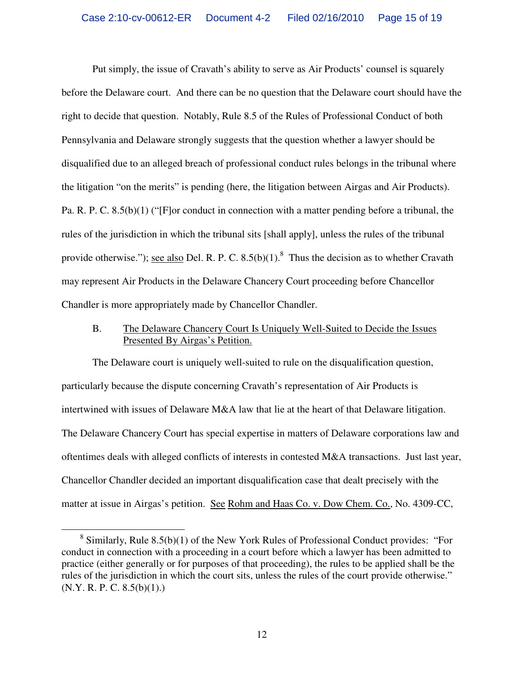Put simply, the issue of Cravath's ability to serve as Air Products' counsel is squarely before the Delaware court. And there can be no question that the Delaware court should have the right to decide that question. Notably, Rule 8.5 of the Rules of Professional Conduct of both Pennsylvania and Delaware strongly suggests that the question whether a lawyer should be disqualified due to an alleged breach of professional conduct rules belongs in the tribunal where the litigation "on the merits" is pending (here, the litigation between Airgas and Air Products). Pa. R. P. C. 8.5(b)(1) ("[F]or conduct in connection with a matter pending before a tribunal, the rules of the jurisdiction in which the tribunal sits [shall apply], unless the rules of the tribunal provide otherwise."); <u>see also</u> Del. R. P. C. 8.5(b)(1).<sup>8</sup> Thus the decision as to whether Cravath may represent Air Products in the Delaware Chancery Court proceeding before Chancellor Chandler is more appropriately made by Chancellor Chandler.

## B. The Delaware Chancery Court Is Uniquely Well-Suited to Decide the Issues Presented By Airgas's Petition.

The Delaware court is uniquely well-suited to rule on the disqualification question, particularly because the dispute concerning Cravath's representation of Air Products is intertwined with issues of Delaware M&A law that lie at the heart of that Delaware litigation. The Delaware Chancery Court has special expertise in matters of Delaware corporations law and oftentimes deals with alleged conflicts of interests in contested M&A transactions. Just last year, Chancellor Chandler decided an important disqualification case that dealt precisely with the matter at issue in Airgas's petition. See Rohm and Haas Co. v. Dow Chem. Co., No. 4309-CC,

<u>.</u>

 $8$  Similarly, Rule 8.5(b)(1) of the New York Rules of Professional Conduct provides: "For conduct in connection with a proceeding in a court before which a lawyer has been admitted to practice (either generally or for purposes of that proceeding), the rules to be applied shall be the rules of the jurisdiction in which the court sits, unless the rules of the court provide otherwise."  $(N.Y. R. P. C. 8.5(b)(1))$ .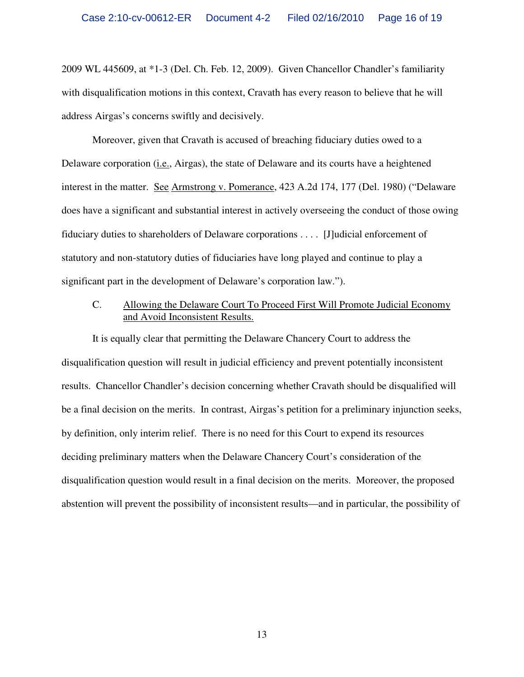2009 WL 445609, at \*1-3 (Del. Ch. Feb. 12, 2009). Given Chancellor Chandler's familiarity with disqualification motions in this context, Cravath has every reason to believe that he will address Airgas's concerns swiftly and decisively.

Moreover, given that Cravath is accused of breaching fiduciary duties owed to a Delaware corporation (*i.e.*, Airgas), the state of Delaware and its courts have a heightened interest in the matter. See Armstrong v. Pomerance, 423 A.2d 174, 177 (Del. 1980) ("Delaware does have a significant and substantial interest in actively overseeing the conduct of those owing fiduciary duties to shareholders of Delaware corporations . . . . [J]udicial enforcement of statutory and non-statutory duties of fiduciaries have long played and continue to play a significant part in the development of Delaware's corporation law.").

### C. Allowing the Delaware Court To Proceed First Will Promote Judicial Economy and Avoid Inconsistent Results.

It is equally clear that permitting the Delaware Chancery Court to address the disqualification question will result in judicial efficiency and prevent potentially inconsistent results. Chancellor Chandler's decision concerning whether Cravath should be disqualified will be a final decision on the merits. In contrast, Airgas's petition for a preliminary injunction seeks, by definition, only interim relief. There is no need for this Court to expend its resources deciding preliminary matters when the Delaware Chancery Court's consideration of the disqualification question would result in a final decision on the merits. Moreover, the proposed abstention will prevent the possibility of inconsistent results—and in particular, the possibility of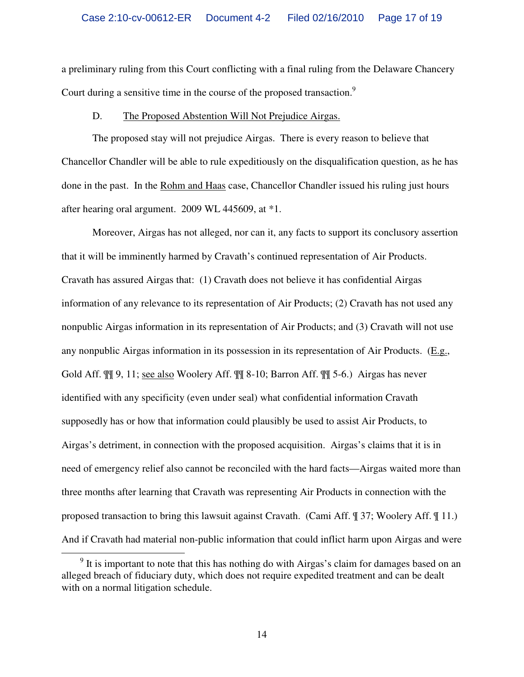a preliminary ruling from this Court conflicting with a final ruling from the Delaware Chancery Court during a sensitive time in the course of the proposed transaction.<sup>9</sup>

#### D. The Proposed Abstention Will Not Prejudice Airgas.

The proposed stay will not prejudice Airgas. There is every reason to believe that Chancellor Chandler will be able to rule expeditiously on the disqualification question, as he has done in the past. In the Rohm and Haas case, Chancellor Chandler issued his ruling just hours after hearing oral argument. 2009 WL 445609, at \*1.

Moreover, Airgas has not alleged, nor can it, any facts to support its conclusory assertion that it will be imminently harmed by Cravath's continued representation of Air Products. Cravath has assured Airgas that: (1) Cravath does not believe it has confidential Airgas information of any relevance to its representation of Air Products; (2) Cravath has not used any nonpublic Airgas information in its representation of Air Products; and (3) Cravath will not use any nonpublic Airgas information in its possession in its representation of Air Products. (E.g., Gold Aff. ¶¶ 9, 11; see also Woolery Aff. ¶¶ 8-10; Barron Aff. ¶¶ 5-6.) Airgas has never identified with any specificity (even under seal) what confidential information Cravath supposedly has or how that information could plausibly be used to assist Air Products, to Airgas's detriment, in connection with the proposed acquisition. Airgas's claims that it is in need of emergency relief also cannot be reconciled with the hard facts—Airgas waited more than three months after learning that Cravath was representing Air Products in connection with the proposed transaction to bring this lawsuit against Cravath. (Cami Aff. ¶ 37; Woolery Aff. ¶ 11.) And if Cravath had material non-public information that could inflict harm upon Airgas and were

 $\overline{a}$ 

 $9$  It is important to note that this has nothing do with Airgas's claim for damages based on an alleged breach of fiduciary duty, which does not require expedited treatment and can be dealt with on a normal litigation schedule.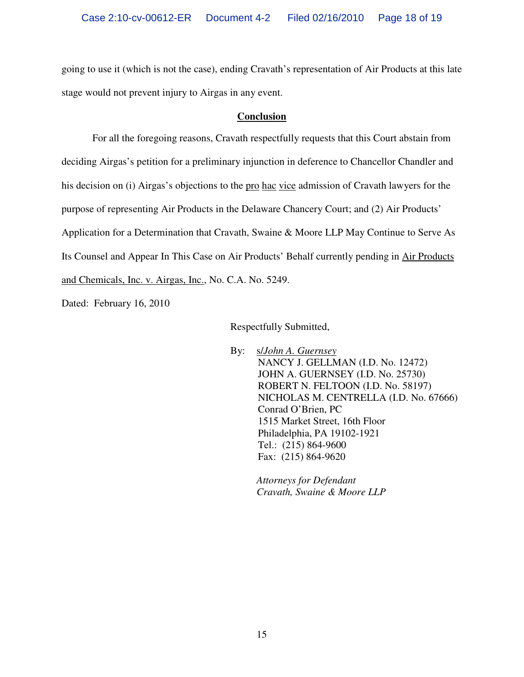going to use it (which is not the case), ending Cravath's representation of Air Products at this late stage would not prevent injury to Airgas in any event.

### **Conclusion**

For all the foregoing reasons, Cravath respectfully requests that this Court abstain from deciding Airgas's petition for a preliminary injunction in deference to Chancellor Chandler and his decision on (i) Airgas's objections to the pro hac vice admission of Cravath lawyers for the purpose of representing Air Products in the Delaware Chancery Court; and (2) Air Products' Application for a Determination that Cravath, Swaine & Moore LLP May Continue to Serve As Its Counsel and Appear In This Case on Air Products' Behalf currently pending in Air Products and Chemicals, Inc. v. Airgas, Inc., No. C.A. No. 5249.

Dated: February 16, 2010

Respectfully Submitted,

 By: s/*John A. Guernsey* NANCY J. GELLMAN (I.D. No. 12472) JOHN A. GUERNSEY (I.D. No. 25730) ROBERT N. FELTOON (I.D. No. 58197) NICHOLAS M. CENTRELLA (I.D. No. 67666) Conrad O'Brien, PC 1515 Market Street, 16th Floor Philadelphia, PA 19102-1921 Tel.: (215) 864-9600 Fax: (215) 864-9620

> *Attorneys for Defendant Cravath, Swaine & Moore LLP*